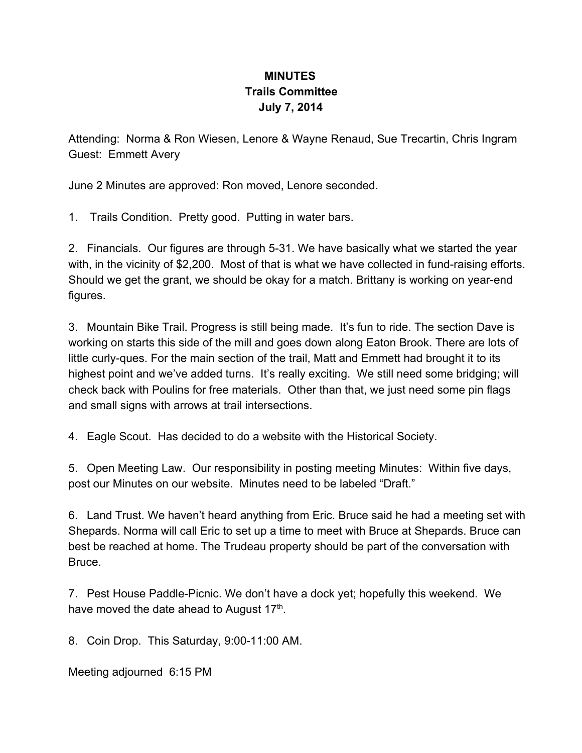## **MINUTES Trails Committee July 7, 2014**

Attending: Norma & Ron Wiesen, Lenore & Wayne Renaud, Sue Trecartin, Chris Ingram Guest: Emmett Avery

June 2 Minutes are approved: Ron moved, Lenore seconded.

1. Trails Condition. Pretty good. Putting in water bars.

2. Financials. Our figures are through 5-31. We have basically what we started the year with, in the vicinity of \$2,200. Most of that is what we have collected in fund-raising efforts. Should we get the grant, we should be okay for a match. Brittany is working on year-end figures.

3. Mountain Bike Trail. Progress is still being made. It's fun to ride. The section Dave is working on starts this side of the mill and goes down along Eaton Brook. There are lots of little curly-ques. For the main section of the trail, Matt and Emmett had brought it to its highest point and we've added turns. It's really exciting. We still need some bridging; will check back with Poulins for free materials. Other than that, we just need some pin flags and small signs with arrows at trail intersections.

4. Eagle Scout. Has decided to do a website with the Historical Society.

5. Open Meeting Law. Our responsibility in posting meeting Minutes: Within five days, post our Minutes on our website. Minutes need to be labeled "Draft."

6. Land Trust. We haven't heard anything from Eric. Bruce said he had a meeting set with Shepards. Norma will call Eric to set up a time to meet with Bruce at Shepards. Bruce can best be reached at home. The Trudeau property should be part of the conversation with Bruce.

7. Pest House Paddle-Picnic. We don't have a dock yet; hopefully this weekend. We have moved the date ahead to August 17<sup>th</sup>.

8. Coin Drop. This Saturday, 9:00-11:00 AM.

Meeting adjourned 6:15 PM